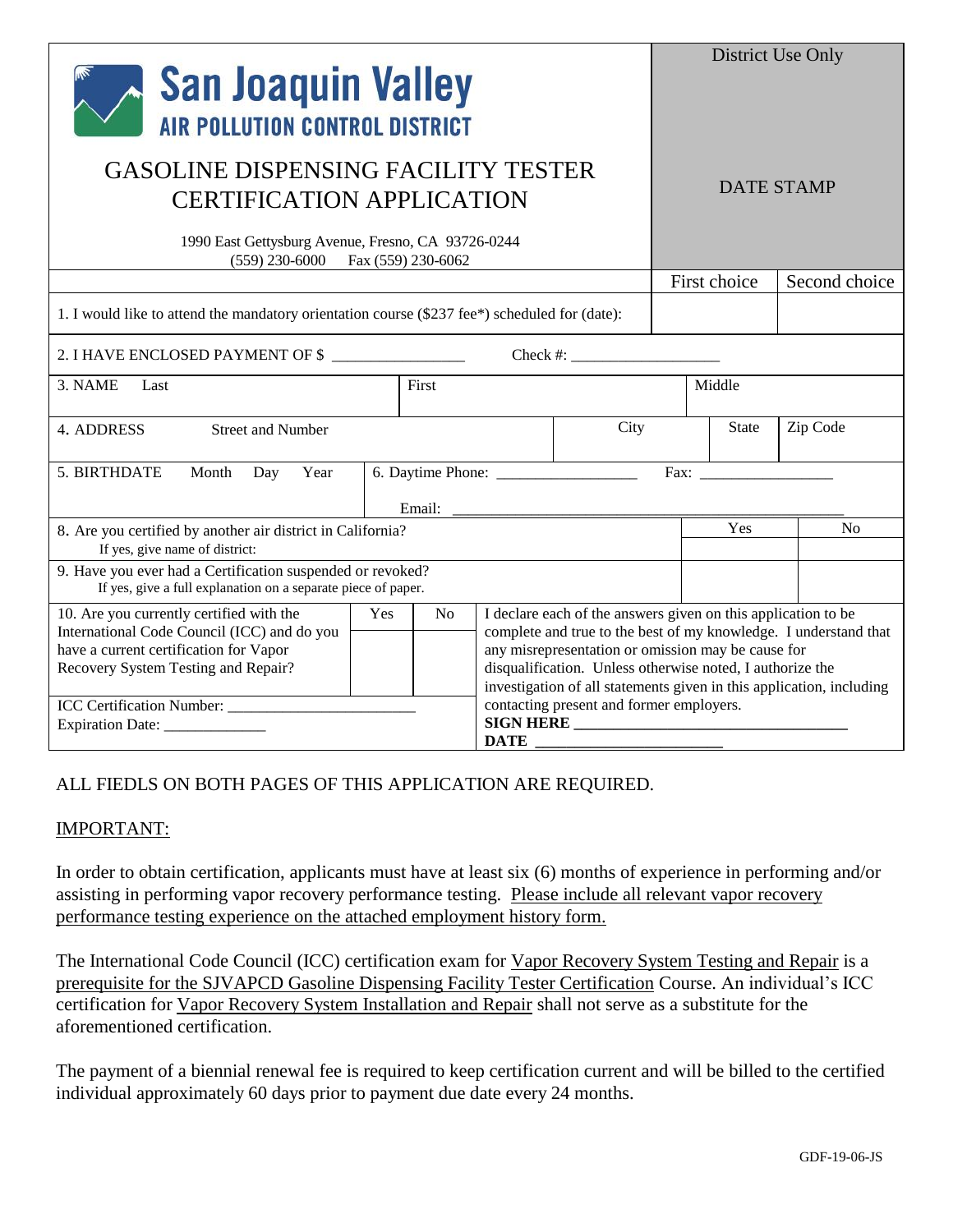| <b>San Joaquin Valley</b><br><b>AIR POLLUTION CONTROL DISTRICT</b>                                                                                                                                    |                                                                                                                                                                                                                                                                                                                                                                                                    |                   |        |  |  | District Use Only |                |  |
|-------------------------------------------------------------------------------------------------------------------------------------------------------------------------------------------------------|----------------------------------------------------------------------------------------------------------------------------------------------------------------------------------------------------------------------------------------------------------------------------------------------------------------------------------------------------------------------------------------------------|-------------------|--------|--|--|-------------------|----------------|--|
| <b>GASOLINE DISPENSING FACILITY TESTER</b><br><b>CERTIFICATION APPLICATION</b><br>1990 East Gettysburg Avenue, Fresno, CA 93726-0244<br>$(559)$ 230-6000 Fax $(559)$ 230-6062                         |                                                                                                                                                                                                                                                                                                                                                                                                    |                   |        |  |  | <b>DATE STAMP</b> |                |  |
|                                                                                                                                                                                                       |                                                                                                                                                                                                                                                                                                                                                                                                    |                   |        |  |  | First choice      | Second choice  |  |
| 1. I would like to attend the mandatory orientation course (\$237 fee*) scheduled for (date):                                                                                                         |                                                                                                                                                                                                                                                                                                                                                                                                    |                   |        |  |  |                   |                |  |
| 2. I HAVE ENCLOSED PAYMENT OF \$                                                                                                                                                                      |                                                                                                                                                                                                                                                                                                                                                                                                    |                   |        |  |  |                   |                |  |
| 3. NAME<br>Last                                                                                                                                                                                       |                                                                                                                                                                                                                                                                                                                                                                                                    | First             | Middle |  |  |                   |                |  |
| Street and Number<br>4. ADDRESS                                                                                                                                                                       | City                                                                                                                                                                                                                                                                                                                                                                                               | Zip Code<br>State |        |  |  |                   |                |  |
| 5. BIRTHDATE<br>Month<br>Year<br>Day                                                                                                                                                                  |                                                                                                                                                                                                                                                                                                                                                                                                    | Email:            | Fax:   |  |  |                   |                |  |
| 8. Are you certified by another air district in California?<br>If yes, give name of district:                                                                                                         |                                                                                                                                                                                                                                                                                                                                                                                                    |                   |        |  |  | Yes               | N <sub>o</sub> |  |
| 9. Have you ever had a Certification suspended or revoked?<br>If yes, give a full explanation on a separate piece of paper.                                                                           |                                                                                                                                                                                                                                                                                                                                                                                                    |                   |        |  |  |                   |                |  |
| 10. Are you currently certified with the<br>International Code Council (ICC) and do you<br>have a current certification for Vapor<br>Recovery System Testing and Repair?<br>ICC Certification Number: | I declare each of the answers given on this application to be<br>Yes<br>No<br>complete and true to the best of my knowledge. I understand that<br>any misrepresentation or omission may be cause for<br>disqualification. Unless otherwise noted, I authorize the<br>investigation of all statements given in this application, including<br>contacting present and former employers.<br>SIGN HERE |                   |        |  |  |                   |                |  |
| Expiration Date: _______________                                                                                                                                                                      | <b>DATE</b>                                                                                                                                                                                                                                                                                                                                                                                        |                   |        |  |  |                   |                |  |

## ALL FIEDLS ON BOTH PAGES OF THIS APPLICATION ARE REQUIRED.

## IMPORTANT:

In order to obtain certification, applicants must have at least six (6) months of experience in performing and/or assisting in performing vapor recovery performance testing. Please include all relevant vapor recovery performance testing experience on the attached employment history form.

The International Code Council (ICC) certification exam for Vapor Recovery System Testing and Repair is a prerequisite for the SJVAPCD Gasoline Dispensing Facility Tester Certification Course. An individual's ICC certification for Vapor Recovery System Installation and Repair shall not serve as a substitute for the aforementioned certification.

The payment of a biennial renewal fee is required to keep certification current and will be billed to the certified individual approximately 60 days prior to payment due date every 24 months.